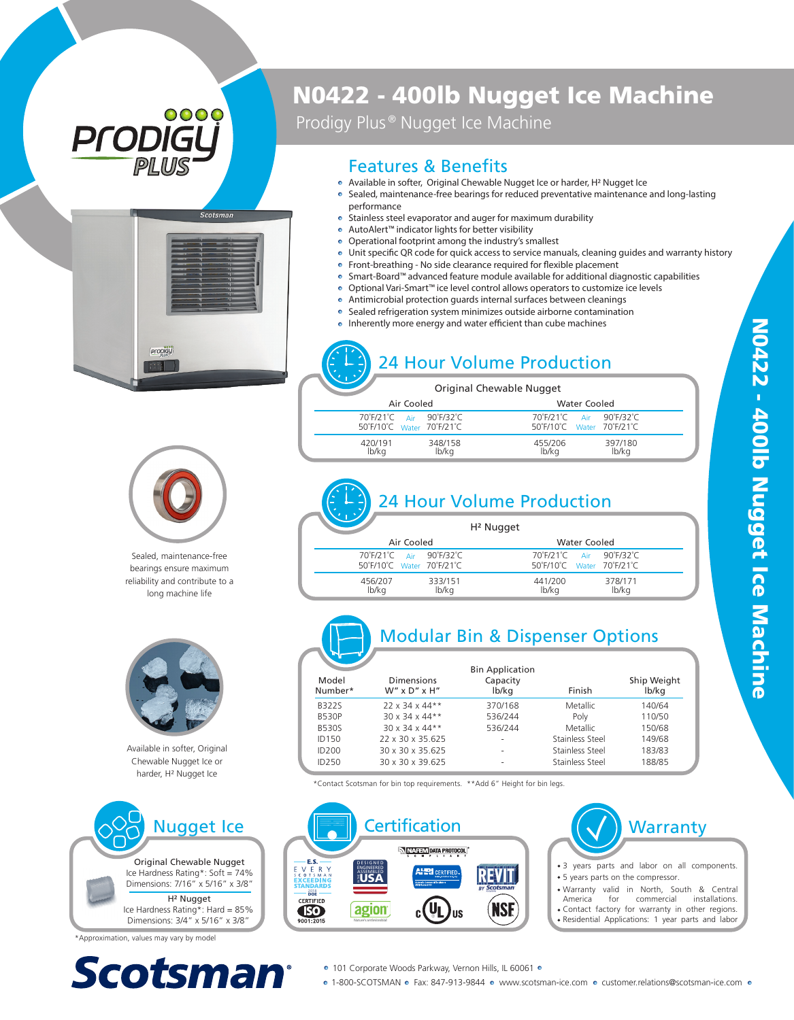# 0000 **PFOD**



# N0422 - 400lb Nugget Ice Machine

Prodigy Plus<sup>®</sup> Nugget Ice Machine

#### Features & Benefits

- Available in softer, Original Chewable Nugget Ice or harder, H 2 Nugget Ice
- Sealed, maintenance-free bearings for reduced preventative maintenance and long-lasting performance
- Stainless steel evaporator and auger for maximum durability
- AutoAlert™ indicator lights for better visibility
- Operational footprint among the industry's smallest
- Unit specific QR code for quick access to service manuals, cleaning quides and warranty history
- Front-breathing No side clearance required for flexible placement
- Smart-Board™ advanced feature module available for additional diagnostic capabilities
- Optional Vari-Smart™ ice level control allows operators to customize ice levels
- ö Antimicrobial protection guards internal surfaces between cleanings
- $\bullet$ Sealed refrigeration system minimizes outside airborne contamination
- Inherently more energy and water efficient than cube machines ö

### 24 Hour Volume Production

|                                                      |                  | Original Chewable Nugget |                     |                                                      |  |
|------------------------------------------------------|------------------|--------------------------|---------------------|------------------------------------------------------|--|
| Air Cooled                                           |                  |                          | <b>Water Cooled</b> |                                                      |  |
| 70°F/21°C Air 90°F/32°C<br>50°F/10°C Water 70°F/21°C |                  |                          |                     | 70°F/21°C Air 90°F/32°C<br>50°F/10°C Water 70°F/21°C |  |
| 420/191<br>lb/ka                                     | 348/158<br>lb/ka | 455/206<br>lb/ka         |                     | 397/180<br>lb/ka                                     |  |



Sealed, maintenance-free bearings ensure maximum reliability and contribute to a long machine life



Available in softer, Original Chewable Nugget Ice or harder, H ² Nugget Ice



\*Approximation, values may vary by model



#### 24 Hour Volume Production H² Nugget

| __                                                   | .                                                    |  |
|------------------------------------------------------|------------------------------------------------------|--|
| Air Cooled                                           | <b>Water Cooled</b>                                  |  |
| 70°F/21°C Air 90°F/32°C<br>50°F/10°C Water 70°F/21°C | 70°F/21°C Air 90°F/32°C<br>50°F/10°C Water 70°F/21°C |  |
| 333/151<br>456/207<br>lb/kg<br>lb/kg                 | 441/200<br>378/171<br>lb/kg<br>lb/kg                 |  |

### Modular Bin & Dispenser Options

| Model<br>Number* | <b>Dimensions</b><br>$W''$ x $D''$ x $H''$ | <b>Bin Application</b><br>Capacity<br>lb/kg | Finish          | Ship Weight<br>lb/kg |
|------------------|--------------------------------------------|---------------------------------------------|-----------------|----------------------|
| <b>B322S</b>     | $22 \times 34 \times 44**$                 | 370/168                                     | Metallic        | 140/64               |
| <b>B530P</b>     | $30 \times 34 \times 44**$                 | 536/244                                     | Poly            | 110/50               |
| <b>B530S</b>     | $30 \times 34 \times 44**$                 | 536/244                                     | Metallic        | 150/68               |
| ID150            | 22 x 30 x 35.625                           |                                             | Stainless Steel | 149/68               |
| ID200            | 30 x 30 x 35.625                           |                                             | Stainless Steel | 183/83               |
| ID250            | 30 x 30 x 39.625                           |                                             | Stainless Steel | 188/85               |

**REVIT** 

**NSE** 

\*Contact Scotsman for bin top requirements. \*\*Add 6" Height for bin legs.

NATEM DATA PROTOCOL

**HPH** CERTIFIED

lus

**Certification** 

DESIGNED ENGINEERED ASSEMBLED<br><mark>USA</mark>

agion

2018 DOE **150** 

VER



- 
- 5 years parts on the compressor.<br>Warranty valid in North, South & Central<br>America ffor commercial installations.
- 
- Contact factory for warranty in other regions. Expears parts and labor on all components.<br>
Syears parts on the compressor.<br>
Warranty valid in North, South & Central<br>
America for commercial installations.<br>
Contact factory for warranty in other regions.<br>
Residential Appl

101 Corporate Woods Parkway, Vernon Hills, IL 60061

 $_{c}$ (V<sub>L</sub>)

o 1-800-SCOTSMAN o Fax: 847-913-9844 o www.scotsman-ice.com o customer.relations@scotsman-ice.com o